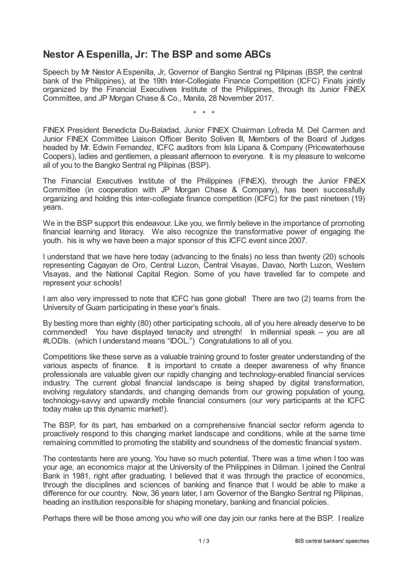## **Nestor A Espenilla, Jr: The BSP and some ABCs**

Speech by Mr Nestor A Espenilla, Jr, Governor of Bangko Sentral ng Pilipinas (BSP, the central bank of the Philippines), at the 19th Inter-Collegiate Finance Competition (ICFC) Finals jointly organized by the Financial Executives Institute of the Philippines, through its Junior FINEX Committee, and JP Morgan Chase & Co., Manila, 28 November 2017.

\* \* \*

FINEX President Benedicta Du-Baladad, Junior FINEX Chairman Lofreda M. Del Carmen and Junior FINEX Committee Liaison Officer Benito Soliven III, Members of the Board of Judges headed by Mr. Edwin Fernandez, ICFC auditors from Isla Lipana & Company (Pricewaterhouse Coopers), ladies and gentlemen, a pleasant afternoon to everyone. It is my pleasure to welcome all of you to the Bangko Sentral ng Pilipinas (BSP).

The Financial Executives Institute of the Philippines (FINEX), through the Junior FINEX Committee (in cooperation with JP Morgan Chase & Company), has been successfully organizing and holding this inter-collegiate finance competition (ICFC) for the past nineteen (19) years.

We in the BSP support this endeavour. Like you, we firmly believe in the importance of promoting financial learning and literacy. We also recognize the transformative power of engaging the youth. his is why we have been a major sponsor of this ICFC event since 2007.

I understand that we have here today (advancing to the finals) no less than twenty (20) schools representing Cagayan de Oro, Central Luzon, Central Visayas, Davao, North Luzon, Western Visayas, and the National Capital Region. Some of you have travelled far to compete and represent your schools!

I am also very impressed to note that ICFC has gone global! There are two (2) teams from the University of Guam participating in these year's finals.

By besting more than eighty (80) other participating schools, all of you here already deserve to be commended! You have displayed tenacity and strength! In millennial speak – you are all #LODIs. (which I understand means "IDOL.") Congratulations to all of you.

Competitions like these serve as a valuable training ground to foster greater understanding of the various aspects of finance. It is important to create a deeper awareness of why finance professionals are valuable given our rapidly changing and technology-enabled financial services industry. The current global financial landscape is being shaped by digital transformation, evolving regulatory standards, and changing demands from our growing population of young, technology-savvy and upwardly mobile financial consumers (our very participants at the ICFC today make up this dynamic market!).

The BSP, for its part, has embarked on a comprehensive financial sector reform agenda to proactively respond to this changing market landscape and conditions, while at the same time remaining committed to promoting the stability and soundness of the domestic financial system.

The contestants here are young. You have so much potential. There was a time when I too was your age, an economics major at the University of the Philippines in Diliman. I joined the Central Bank in 1981, right after graduating. I believed that it was through the practice of economics, through the disciplines and sciences of banking and finance that I would be able to make a difference for our country. Now, 36 years later, I am Governor of the Bangko Sentral ng Pilipinas, heading an institution responsible for shaping monetary, banking and financial policies.

Perhaps there will be those among you who will one day join our ranks here at the BSP. I realize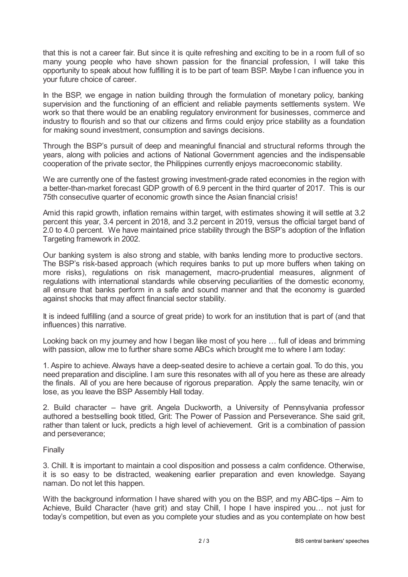that this is not a career fair. But since it is quite refreshing and exciting to be in a room full of so many young people who have shown passion for the financial profession, I will take this opportunity to speak about how fulfilling it is to be part of team BSP. Maybe I can influence you in your future choice of career.

In the BSP, we engage in nation building through the formulation of monetary policy, banking supervision and the functioning of an efficient and reliable payments settlements system. We work so that there would be an enabling regulatory environment for businesses, commerce and industry to flourish and so that our citizens and firms could enjoy price stability as a foundation for making sound investment, consumption and savings decisions.

Through the BSP's pursuit of deep and meaningful financial and structural reforms through the years, along with policies and actions of National Government agencies and the indispensable cooperation of the private sector, the Philippines currently enjoys macroeconomic stability.

We are currently one of the fastest growing investment-grade rated economies in the region with a better-than-market forecast GDP growth of 6.9 percent in the third quarter of 2017. This is our 75th consecutive quarter of economic growth since the Asian financial crisis!

Amid this rapid growth, inflation remains within target, with estimates showing it will settle at 3.2 percent this year, 3.4 percent in 2018, and 3.2 percent in 2019, versus the official target band of 2.0 to 4.0 percent. We have maintained price stability through the BSP's adoption of the Inflation Targeting framework in 2002.

Our banking system is also strong and stable, with banks lending more to productive sectors. The BSP's risk-based approach (which requires banks to put up more buffers when taking on more risks), regulations on risk management, macro-prudential measures, alignment of regulations with international standards while observing peculiarities of the domestic economy, all ensure that banks perform in a safe and sound manner and that the economy is guarded against shocks that may affect financial sector stability.

It is indeed fulfilling (and a source of great pride) to work for an institution that is part of (and that influences) this narrative.

Looking back on my journey and how I began like most of you here … full of ideas and brimming with passion, allow me to further share some ABCs which brought me to where I am today:

1. Aspire to achieve. Always have a deep-seated desire to achieve a certain goal. To do this, you need preparation and discipline. I am sure this resonates with all of you here as these are already the finals. All of you are here because of rigorous preparation. Apply the same tenacity, win or lose, as you leave the BSP Assembly Hall today.

2. Build character – have grit. Angela Duckworth, a University of Pennsylvania professor authored a bestselling book titled, Grit: The Power of Passion and Perseverance. She said grit, rather than talent or luck, predicts a high level of achievement. Grit is a combination of passion and perseverance;

## Finally

3. Chill. It is important to maintain a cool disposition and possess a calm confidence. Otherwise, it is so easy to be distracted, weakening earlier preparation and even knowledge. Sayang naman. Do not let this happen.

With the background information I have shared with you on the BSP, and my ABC-tips – Aim to Achieve, Build Character (have grit) and stay Chill, I hope I have inspired you… not just for today's competition, but even as you complete your studies and as you contemplate on how best